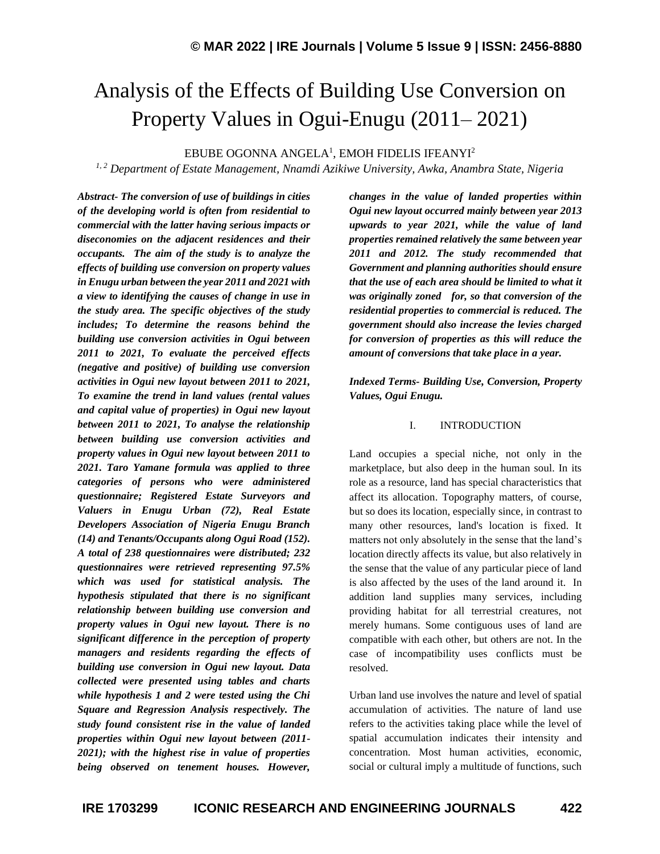# Analysis of the Effects of Building Use Conversion on Property Values in Ogui-Enugu (2011– 2021)

 $\rm EBUBE$  OGONNA ANGELA $^1$ , EMOH FIDELIS IFEANYI $^2$ 

*1, 2 Department of Estate Management, Nnamdi Azikiwe University, Awka, Anambra State, Nigeria*

*Abstract- The conversion of use of buildings in cities of the developing world is often from residential to commercial with the latter having serious impacts or diseconomies on the adjacent residences and their occupants. The aim of the study is to analyze the effects of building use conversion on property values in Enugu urban between the year 2011 and 2021 with a view to identifying the causes of change in use in the study area. The specific objectives of the study includes; To determine the reasons behind the building use conversion activities in Ogui between 2011 to 2021, To evaluate the perceived effects (negative and positive) of building use conversion activities in Ogui new layout between 2011 to 2021, To examine the trend in land values (rental values and capital value of properties) in Ogui new layout between 2011 to 2021, To analyse the relationship between building use conversion activities and property values in Ogui new layout between 2011 to 2021. Taro Yamane formula was applied to three categories of persons who were administered questionnaire; Registered Estate Surveyors and Valuers in Enugu Urban (72), Real Estate Developers Association of Nigeria Enugu Branch (14) and Tenants/Occupants along Ogui Road (152). A total of 238 questionnaires were distributed; 232 questionnaires were retrieved representing 97.5% which was used for statistical analysis. The hypothesis stipulated that there is no significant relationship between building use conversion and property values in Ogui new layout. There is no significant difference in the perception of property managers and residents regarding the effects of building use conversion in Ogui new layout. Data collected were presented using tables and charts while hypothesis 1 and 2 were tested using the Chi Square and Regression Analysis respectively. The study found consistent rise in the value of landed properties within Ogui new layout between (2011- 2021); with the highest rise in value of properties being observed on tenement houses. However,* 

*changes in the value of landed properties within Ogui new layout occurred mainly between year 2013 upwards to year 2021, while the value of land properties remained relatively the same between year 2011 and 2012. The study recommended that Government and planning authorities should ensure that the use of each area should be limited to what it was originally zoned for, so that conversion of the residential properties to commercial is reduced. The government should also increase the levies charged for conversion of properties as this will reduce the amount of conversions that take place in a year.*

*Indexed Terms- Building Use, Conversion, Property Values, Ogui Enugu.*

### I. INTRODUCTION

Land occupies a special niche, not only in the marketplace, but also deep in the human soul. In its role as a resource, land has special characteristics that affect its allocation. Topography matters, of course, but so does its location, especially since, in contrast to many other resources, land's location is fixed. It matters not only absolutely in the sense that the land's location directly affects its value, but also relatively in the sense that the value of any particular piece of land is also affected by the uses of the land around it. In addition land supplies many services, including providing habitat for all terrestrial creatures, not merely humans. Some contiguous uses of land are compatible with each other, but others are not. In the case of incompatibility uses conflicts must be resolved.

Urban land use involves the nature and level of spatial accumulation of activities. The nature of land use refers to the activities taking place while the level of spatial accumulation indicates their intensity and concentration. Most human activities, economic, social or cultural imply a multitude of functions, such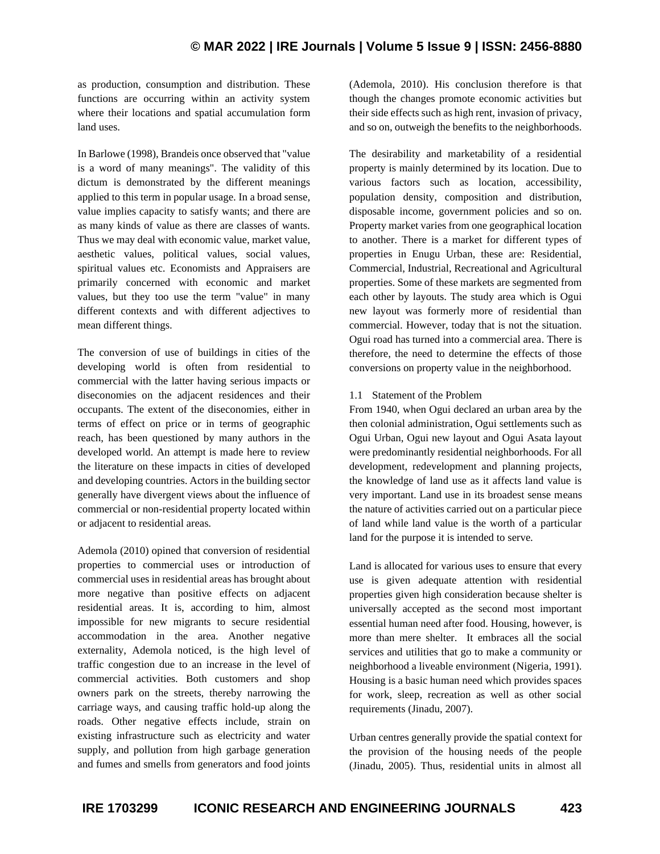as production, consumption and distribution. These functions are occurring within an activity system where their locations and spatial accumulation form land uses.

In Barlowe (1998), Brandeis once observed that "value is a word of many meanings". The validity of this dictum is demonstrated by the different meanings applied to this term in popular usage. In a broad sense, value implies capacity to satisfy wants; and there are as many kinds of value as there are classes of wants. Thus we may deal with economic value, market value, aesthetic values, political values, social values, spiritual values etc. Economists and Appraisers are primarily concerned with economic and market values, but they too use the term "value" in many different contexts and with different adjectives to mean different things.

The conversion of use of buildings in cities of the developing world is often from residential to commercial with the latter having serious impacts or diseconomies on the adjacent residences and their occupants. The extent of the diseconomies, either in terms of effect on price or in terms of geographic reach, has been questioned by many authors in the developed world. An attempt is made here to review the literature on these impacts in cities of developed and developing countries. Actors in the building sector generally have divergent views about the influence of commercial or non-residential property located within or adjacent to residential areas.

Ademola (2010) opined that conversion of residential properties to commercial uses or introduction of commercial uses in residential areas has brought about more negative than positive effects on adjacent residential areas. It is, according to him, almost impossible for new migrants to secure residential accommodation in the area. Another negative externality, Ademola noticed, is the high level of traffic congestion due to an increase in the level of commercial activities. Both customers and shop owners park on the streets, thereby narrowing the carriage ways, and causing traffic hold-up along the roads. Other negative effects include, strain on existing infrastructure such as electricity and water supply, and pollution from high garbage generation and fumes and smells from generators and food joints (Ademola, 2010). His conclusion therefore is that though the changes promote economic activities but their side effects such as high rent, invasion of privacy, and so on, outweigh the benefits to the neighborhoods.

The desirability and marketability of a residential property is mainly determined by its location. Due to various factors such as location, accessibility, population density, composition and distribution, disposable income, government policies and so on. Property market varies from one geographical location to another. There is a market for different types of properties in Enugu Urban, these are: Residential, Commercial, Industrial, Recreational and Agricultural properties. Some of these markets are segmented from each other by layouts. The study area which is Ogui new layout was formerly more of residential than commercial. However, today that is not the situation. Ogui road has turned into a commercial area. There is therefore, the need to determine the effects of those conversions on property value in the neighborhood.

### 1.1 Statement of the Problem

From 1940, when Ogui declared an urban area by the then colonial administration, Ogui settlements such as Ogui Urban, Ogui new layout and Ogui Asata layout were predominantly residential neighborhoods. For all development, redevelopment and planning projects, the knowledge of land use as it affects land value is very important. Land use in its broadest sense means the nature of activities carried out on a particular piece of land while land value is the worth of a particular land for the purpose it is intended to serve.

Land is allocated for various uses to ensure that every use is given adequate attention with residential properties given high consideration because shelter is universally accepted as the second most important essential human need after food. Housing, however, is more than mere shelter. It embraces all the social services and utilities that go to make a community or neighborhood a liveable environment (Nigeria, 1991). Housing is a basic human need which provides spaces for work, sleep, recreation as well as other social requirements (Jinadu, 2007).

Urban centres generally provide the spatial context for the provision of the housing needs of the people (Jinadu, 2005). Thus, residential units in almost all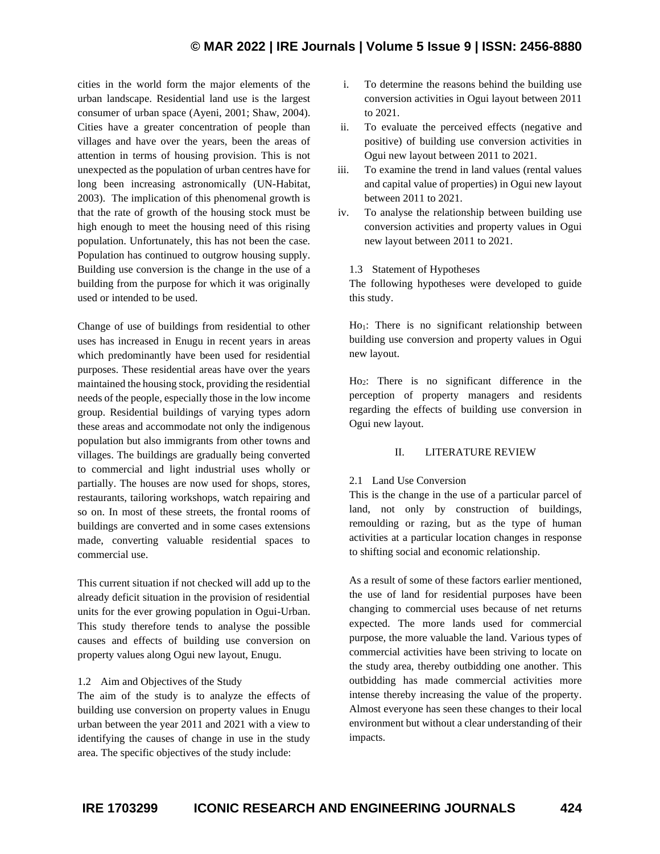cities in the world form the major elements of the urban landscape. Residential land use is the largest consumer of urban space (Ayeni, 2001; Shaw, 2004). Cities have a greater concentration of people than villages and have over the years, been the areas of attention in terms of housing provision. This is not unexpected as the population of urban centres have for long been increasing astronomically (UN-Habitat, 2003). The implication of this phenomenal growth is that the rate of growth of the housing stock must be high enough to meet the housing need of this rising population. Unfortunately, this has not been the case. Population has continued to outgrow housing supply. Building use conversion is the change in the use of a building from the purpose for which it was originally used or intended to be used.

Change of use of buildings from residential to other uses has increased in Enugu in recent years in areas which predominantly have been used for residential purposes. These residential areas have over the years maintained the housing stock, providing the residential needs of the people, especially those in the low income group. Residential buildings of varying types adorn these areas and accommodate not only the indigenous population but also immigrants from other towns and villages. The buildings are gradually being converted to commercial and light industrial uses wholly or partially. The houses are now used for shops, stores, restaurants, tailoring workshops, watch repairing and so on. In most of these streets, the frontal rooms of buildings are converted and in some cases extensions made, converting valuable residential spaces to commercial use.

This current situation if not checked will add up to the already deficit situation in the provision of residential units for the ever growing population in Ogui-Urban. This study therefore tends to analyse the possible causes and effects of building use conversion on property values along Ogui new layout, Enugu.

### 1.2 Aim and Objectives of the Study

The aim of the study is to analyze the effects of building use conversion on property values in Enugu urban between the year 2011 and 2021 with a view to identifying the causes of change in use in the study area. The specific objectives of the study include:

- i. To determine the reasons behind the building use conversion activities in Ogui layout between 2011 to 2021.
- ii. To evaluate the perceived effects (negative and positive) of building use conversion activities in Ogui new layout between 2011 to 2021.
- iii. To examine the trend in land values (rental values and capital value of properties) in Ogui new layout between 2011 to 2021.
- iv. To analyse the relationship between building use conversion activities and property values in Ogui new layout between 2011 to 2021.

#### 1.3 Statement of Hypotheses

The following hypotheses were developed to guide this study.

Ho<sub>1</sub>: There is no significant relationship between building use conversion and property values in Ogui new layout.

Ho2: There is no significant difference in the perception of property managers and residents regarding the effects of building use conversion in Ogui new layout.

### II. LITERATURE REVIEW

#### 2.1 Land Use Conversion

This is the change in the use of a particular parcel of land, not only by construction of buildings, remoulding or razing, but as the type of human activities at a particular location changes in response to shifting social and economic relationship.

As a result of some of these factors earlier mentioned, the use of land for residential purposes have been changing to commercial uses because of net returns expected. The more lands used for commercial purpose, the more valuable the land. Various types of commercial activities have been striving to locate on the study area, thereby outbidding one another. This outbidding has made commercial activities more intense thereby increasing the value of the property. Almost everyone has seen these changes to their local environment but without a clear understanding of their impacts.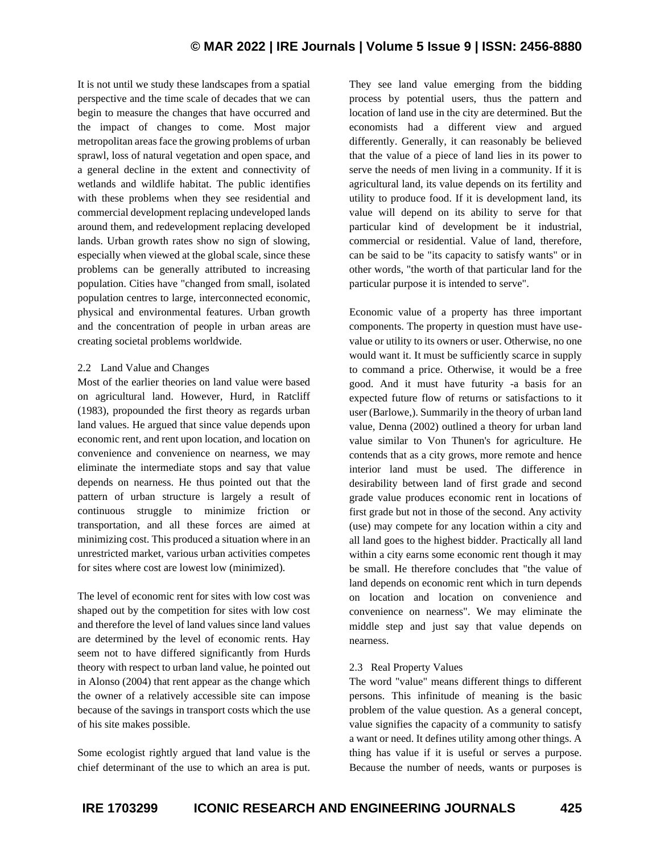It is not until we study these landscapes from a spatial perspective and the time scale of decades that we can begin to measure the changes that have occurred and the impact of changes to come. Most major metropolitan areas face the growing problems of urban sprawl, loss of natural vegetation and open space, and a general decline in the extent and connectivity of wetlands and wildlife habitat. The public identifies with these problems when they see residential and commercial development replacing undeveloped lands around them, and redevelopment replacing developed lands. Urban growth rates show no sign of slowing, especially when viewed at the global scale, since these problems can be generally attributed to increasing population. Cities have "changed from small, isolated population centres to large, interconnected economic, physical and environmental features. Urban growth and the concentration of people in urban areas are creating societal problems worldwide.

# 2.2 Land Value and Changes

Most of the earlier theories on land value were based on agricultural land. However, Hurd, in Ratcliff (1983), propounded the first theory as regards urban land values. He argued that since value depends upon economic rent, and rent upon location, and location on convenience and convenience on nearness, we may eliminate the intermediate stops and say that value depends on nearness. He thus pointed out that the pattern of urban structure is largely a result of continuous struggle to minimize friction or transportation, and all these forces are aimed at minimizing cost. This produced a situation where in an unrestricted market, various urban activities competes for sites where cost are lowest low (minimized).

The level of economic rent for sites with low cost was shaped out by the competition for sites with low cost and therefore the level of land values since land values are determined by the level of economic rents. Hay seem not to have differed significantly from Hurds theory with respect to urban land value, he pointed out in Alonso (2004) that rent appear as the change which the owner of a relatively accessible site can impose because of the savings in transport costs which the use of his site makes possible.

Some ecologist rightly argued that land value is the chief determinant of the use to which an area is put. They see land value emerging from the bidding process by potential users, thus the pattern and location of land use in the city are determined. But the economists had a different view and argued differently. Generally, it can reasonably be believed that the value of a piece of land lies in its power to serve the needs of men living in a community. If it is agricultural land, its value depends on its fertility and utility to produce food. If it is development land, its value will depend on its ability to serve for that particular kind of development be it industrial, commercial or residential. Value of land, therefore, can be said to be "its capacity to satisfy wants" or in other words, "the worth of that particular land for the particular purpose it is intended to serve".

Economic value of a property has three important components. The property in question must have usevalue or utility to its owners or user. Otherwise, no one would want it. It must be sufficiently scarce in supply to command a price. Otherwise, it would be a free good. And it must have futurity -a basis for an expected future flow of returns or satisfactions to it user (Barlowe,). Summarily in the theory of urban land value, Denna (2002) outlined a theory for urban land value similar to Von Thunen's for agriculture. He contends that as a city grows, more remote and hence interior land must be used. The difference in desirability between land of first grade and second grade value produces economic rent in locations of first grade but not in those of the second. Any activity (use) may compete for any location within a city and all land goes to the highest bidder. Practically all land within a city earns some economic rent though it may be small. He therefore concludes that "the value of land depends on economic rent which in turn depends on location and location on convenience and convenience on nearness". We may eliminate the middle step and just say that value depends on nearness.

# 2.3 Real Property Values

The word "value" means different things to different persons. This infinitude of meaning is the basic problem of the value question. As a general concept, value signifies the capacity of a community to satisfy a want or need. It defines utility among other things. A thing has value if it is useful or serves a purpose. Because the number of needs, wants or purposes is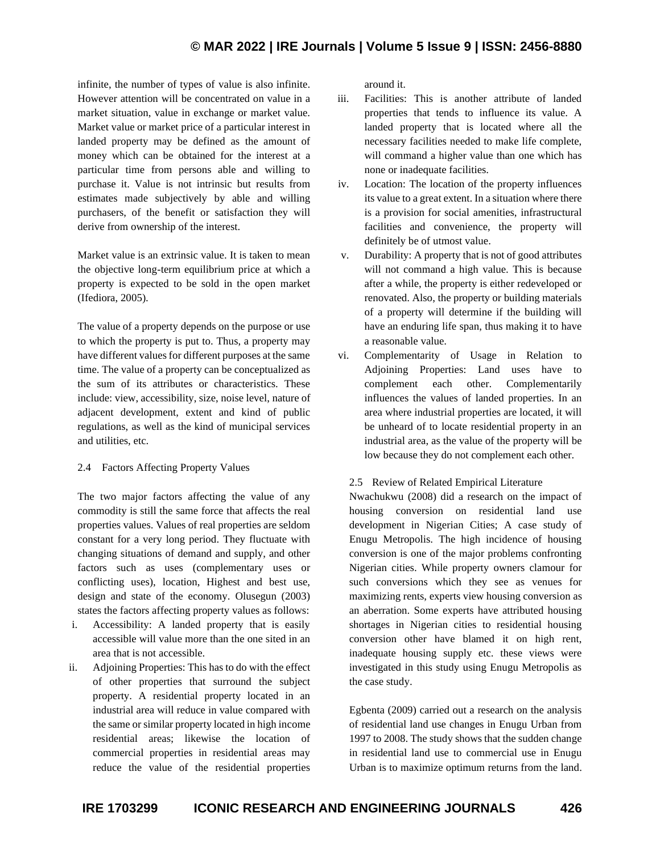infinite, the number of types of value is also infinite. However attention will be concentrated on value in a market situation, value in exchange or market value. Market value or market price of a particular interest in landed property may be defined as the amount of money which can be obtained for the interest at a particular time from persons able and willing to purchase it. Value is not intrinsic but results from estimates made subjectively by able and willing purchasers, of the benefit or satisfaction they will derive from ownership of the interest.

Market value is an extrinsic value. It is taken to mean the objective long-term equilibrium price at which a property is expected to be sold in the open market (Ifediora, 2005).

The value of a property depends on the purpose or use to which the property is put to. Thus, a property may have different values for different purposes at the same time. The value of a property can be conceptualized as the sum of its attributes or characteristics. These include: view, accessibility, size, noise level, nature of adjacent development, extent and kind of public regulations, as well as the kind of municipal services and utilities, etc.

### 2.4 Factors Affecting Property Values

The two major factors affecting the value of any commodity is still the same force that affects the real properties values. Values of real properties are seldom constant for a very long period. They fluctuate with changing situations of demand and supply, and other factors such as uses (complementary uses or conflicting uses), location, Highest and best use, design and state of the economy. Olusegun (2003) states the factors affecting property values as follows:

- i. Accessibility: A landed property that is easily accessible will value more than the one sited in an area that is not accessible.
- ii. Adjoining Properties: This has to do with the effect of other properties that surround the subject property. A residential property located in an industrial area will reduce in value compared with the same or similar property located in high income residential areas; likewise the location of commercial properties in residential areas may reduce the value of the residential properties

around it.

- iii. Facilities: This is another attribute of landed properties that tends to influence its value. A landed property that is located where all the necessary facilities needed to make life complete, will command a higher value than one which has none or inadequate facilities.
- iv. Location: The location of the property influences its value to a great extent. In a situation where there is a provision for social amenities, infrastructural facilities and convenience, the property will definitely be of utmost value.
- v. Durability: A property that is not of good attributes will not command a high value. This is because after a while, the property is either redeveloped or renovated. Also, the property or building materials of a property will determine if the building will have an enduring life span, thus making it to have a reasonable value.
- vi. Complementarity of Usage in Relation to Adjoining Properties: Land uses have to complement each other. Complementarily influences the values of landed properties. In an area where industrial properties are located, it will be unheard of to locate residential property in an industrial area, as the value of the property will be low because they do not complement each other.

### 2.5 Review of Related Empirical Literature

Nwachukwu (2008) did a research on the impact of housing conversion on residential land use development in Nigerian Cities; A case study of Enugu Metropolis. The high incidence of housing conversion is one of the major problems confronting Nigerian cities. While property owners clamour for such conversions which they see as venues for maximizing rents, experts view housing conversion as an aberration. Some experts have attributed housing shortages in Nigerian cities to residential housing conversion other have blamed it on high rent, inadequate housing supply etc. these views were investigated in this study using Enugu Metropolis as the case study.

Egbenta (2009) carried out a research on the analysis of residential land use changes in Enugu Urban from 1997 to 2008. The study shows that the sudden change in residential land use to commercial use in Enugu Urban is to maximize optimum returns from the land.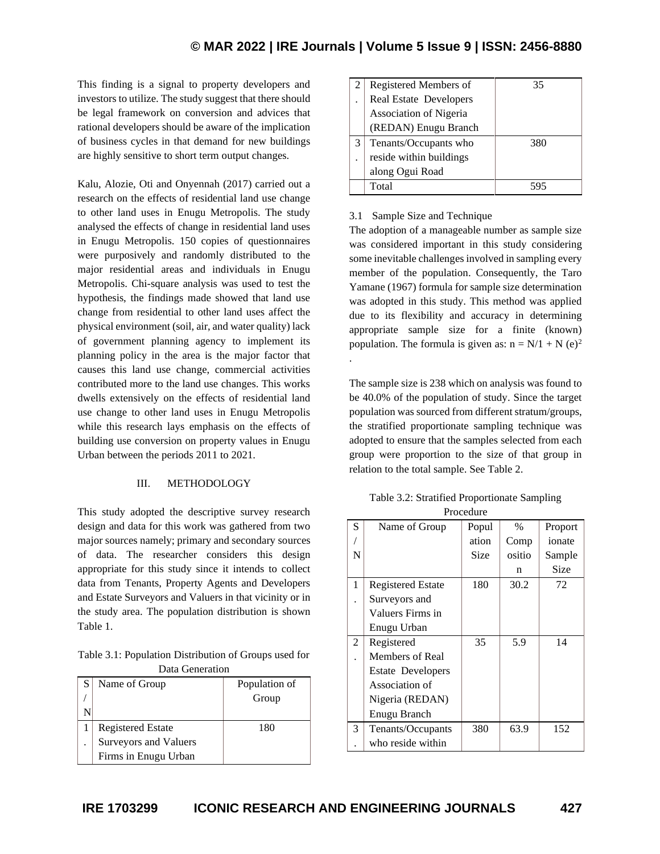.

This finding is a signal to property developers and investors to utilize. The study suggest that there should be legal framework on conversion and advices that rational developers should be aware of the implication of business cycles in that demand for new buildings are highly sensitive to short term output changes.

Kalu, Alozie, Oti and Onyennah (2017) carried out a research on the effects of residential land use change to other land uses in Enugu Metropolis. The study analysed the effects of change in residential land uses in Enugu Metropolis. 150 copies of questionnaires were purposively and randomly distributed to the major residential areas and individuals in Enugu Metropolis. Chi-square analysis was used to test the hypothesis, the findings made showed that land use change from residential to other land uses affect the physical environment (soil, air, and water quality) lack of government planning agency to implement its planning policy in the area is the major factor that causes this land use change, commercial activities contributed more to the land use changes. This works dwells extensively on the effects of residential land use change to other land uses in Enugu Metropolis while this research lays emphasis on the effects of building use conversion on property values in Enugu Urban between the periods 2011 to 2021.

### III. METHODOLOGY

This study adopted the descriptive survey research design and data for this work was gathered from two major sources namely; primary and secondary sources of data. The researcher considers this design appropriate for this study since it intends to collect data from Tenants, Property Agents and Developers and Estate Surveyors and Valuers in that vicinity or in the study area. The population distribution is shown Table 1.

Table 3.1: Population Distribution of Groups used for Data Generation

| S | Name of Group            | Population of |
|---|--------------------------|---------------|
|   |                          | Group         |
|   |                          |               |
|   | <b>Registered Estate</b> | 180           |
|   | Surveyors and Valuers    |               |
|   | Firms in Enugu Urban     |               |

|   | Registered Members of         | 35  |
|---|-------------------------------|-----|
|   | <b>Real Estate Developers</b> |     |
|   | Association of Nigeria        |     |
|   | (REDAN) Enugu Branch          |     |
| 3 | Tenants/Occupants who         | 380 |
|   | reside within buildings       |     |
|   | along Ogui Road               |     |
|   | Total                         |     |

#### 3.1 Sample Size and Technique

The adoption of a manageable number as sample size was considered important in this study considering some inevitable challenges involved in sampling every member of the population. Consequently, the Taro Yamane (1967) formula for sample size determination was adopted in this study. This method was applied due to its flexibility and accuracy in determining appropriate sample size for a finite (known) population. The formula is given as:  $n = N/1 + N$  (e)<sup>2</sup>

The sample size is 238 which on analysis was found to be 40.0% of the population of study. Since the target population was sourced from different stratum/groups, the stratified proportionate sampling technique was adopted to ensure that the samples selected from each group were proportion to the size of that group in relation to the total sample. See Table 2.

Table 3.2: Stratified Proportionate Sampling Procedure

| S | Name of Group            | Popul | $\frac{0}{0}$ | Proport |
|---|--------------------------|-------|---------------|---------|
|   |                          | ation | Comp          | ionate  |
| N |                          | Size  | ositio        | Sample  |
|   |                          |       | n             | Size    |
| 1 | <b>Registered Estate</b> | 180   | 30.2          | 72      |
|   | Surveyors and            |       |               |         |
|   | Valuers Firms in         |       |               |         |
|   | Enugu Urban              |       |               |         |
| 2 | Registered               | 35    | 5.9           | 14      |
|   | Members of Real          |       |               |         |
|   | <b>Estate Developers</b> |       |               |         |
|   | Association of           |       |               |         |
|   | Nigeria (REDAN)          |       |               |         |
|   | Enugu Branch             |       |               |         |
| 3 | Tenants/Occupants        | 380   | 63.9          | 152     |
|   | who reside within        |       |               |         |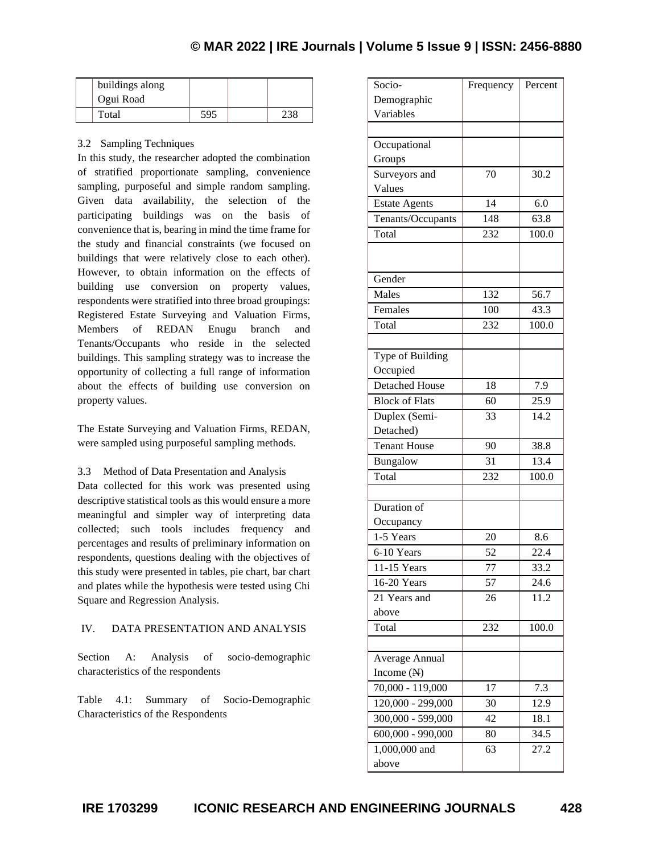| buildings along<br>Ogui Road |     |  |
|------------------------------|-----|--|
| Total                        | 595 |  |

## 3.2 Sampling Techniques

In this study, the researcher adopted the combination of stratified proportionate sampling, convenience sampling, purposeful and simple random sampling. Given data availability, the selection of the participating buildings was on the basis of convenience that is, bearing in mind the time frame for the study and financial constraints (we focused on buildings that were relatively close to each other). However, to obtain information on the effects of building use conversion on property values, respondents were stratified into three broad groupings: Registered Estate Surveying and Valuation Firms, Members of REDAN Enugu branch and Tenants/Occupants who reside in the selected buildings. This sampling strategy was to increase the opportunity of collecting a full range of information about the effects of building use conversion on property values.

The Estate Surveying and Valuation Firms, REDAN, were sampled using purposeful sampling methods.

3.3 Method of Data Presentation and Analysis

Data collected for this work was presented using descriptive statistical tools as this would ensure a more meaningful and simpler way of interpreting data collected; such tools includes frequency and percentages and results of preliminary information on respondents, questions dealing with the objectives of this study were presented in tables, pie chart, bar chart and plates while the hypothesis were tested using Chi Square and Regression Analysis.

### IV. DATA PRESENTATION AND ANALYSIS

Section A: Analysis of socio-demographic characteristics of the respondents

Table 4.1: Summary of Socio-Demographic Characteristics of the Respondents

| Socio-                         | Frequency | Percent |
|--------------------------------|-----------|---------|
| Demographic                    |           |         |
| Variables                      |           |         |
|                                |           |         |
| Occupational                   |           |         |
| Groups                         |           |         |
| Surveyors and                  | 70        | 30.2    |
| Values                         |           |         |
| <b>Estate Agents</b>           | 14        | 6.0     |
| Tenants/Occupants              | 148       | 63.8    |
| Total                          | 232       | 100.0   |
|                                |           |         |
|                                |           |         |
| Gender                         |           |         |
| Males                          | 132       | 56.7    |
| Females                        | 100       | 43.3    |
| Total                          | 232       | 100.0   |
|                                |           |         |
| Type of Building               |           |         |
| Occupied                       |           |         |
| <b>Detached House</b>          | 18        | 7.9     |
| <b>Block of Flats</b>          | 60        | 25.9    |
| Duplex (Semi-                  | 33        | 14.2    |
| Detached)                      |           |         |
| <b>Tenant House</b>            | 90        | 38.8    |
| Bungalow                       | 31        | 13.4    |
| Total                          | 232       | 100.0   |
|                                |           |         |
| Duration of                    |           |         |
| Occupancy                      |           |         |
| 1-5 Years                      | 20        | 8.6     |
| 6-10 Years                     | 52        | 22.4    |
| 11-15 Years                    | 77        | 33.2    |
| 16-20 Years                    | 57        | 24.6    |
| 21 Years and                   | 26        | 11.2    |
| above                          |           |         |
| Total                          | 232       | 100.0   |
|                                |           |         |
| Average Annual                 |           |         |
| Income $(N)$                   |           |         |
| 70,000 - 119,000               | 17        | 7.3     |
| 120,000 - 299,000              | 30        | 12.9    |
| 300,000 - 599,000              | 42        | 18.1    |
| $\overline{600,000}$ - 990,000 | 80        | 34.5    |
| 1,000,000 and                  | 63        | 27.2    |
| above                          |           |         |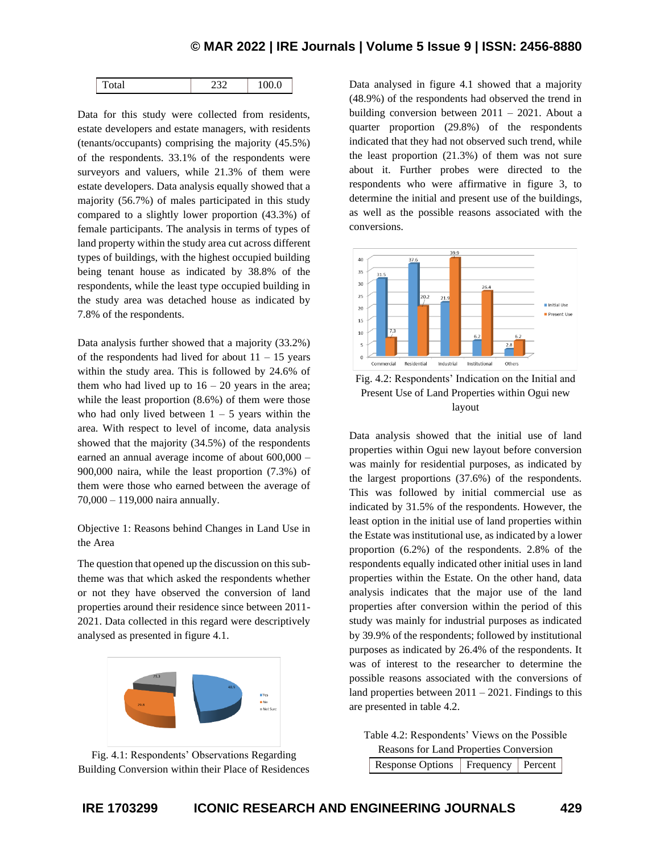| ∼<br>$-$<br>____ |  | $\sim$ $\sim$ |  |
|------------------|--|---------------|--|
|------------------|--|---------------|--|

Data for this study were collected from residents, estate developers and estate managers, with residents (tenants/occupants) comprising the majority (45.5%) of the respondents. 33.1% of the respondents were surveyors and valuers, while 21.3% of them were estate developers. Data analysis equally showed that a majority (56.7%) of males participated in this study compared to a slightly lower proportion (43.3%) of female participants. The analysis in terms of types of land property within the study area cut across different types of buildings, with the highest occupied building being tenant house as indicated by 38.8% of the respondents, while the least type occupied building in the study area was detached house as indicated by 7.8% of the respondents.

Data analysis further showed that a majority (33.2%) of the respondents had lived for about  $11 - 15$  years within the study area. This is followed by 24.6% of them who had lived up to  $16 - 20$  years in the area; while the least proportion (8.6%) of them were those who had only lived between  $1 - 5$  years within the area. With respect to level of income, data analysis showed that the majority (34.5%) of the respondents earned an annual average income of about 600,000 – 900,000 naira, while the least proportion (7.3%) of them were those who earned between the average of 70,000 – 119,000 naira annually.

Objective 1: Reasons behind Changes in Land Use in the Area

The question that opened up the discussion on this subtheme was that which asked the respondents whether or not they have observed the conversion of land properties around their residence since between 2011- 2021. Data collected in this regard were descriptively analysed as presented in figure 4.1.





Data analysed in figure 4.1 showed that a majority (48.9%) of the respondents had observed the trend in building conversion between 2011 – 2021. About a quarter proportion (29.8%) of the respondents indicated that they had not observed such trend, while the least proportion (21.3%) of them was not sure about it. Further probes were directed to the respondents who were affirmative in figure 3, to determine the initial and present use of the buildings, as well as the possible reasons associated with the conversions.



Fig. 4.2: Respondents' Indication on the Initial and Present Use of Land Properties within Ogui new layout

Data analysis showed that the initial use of land properties within Ogui new layout before conversion was mainly for residential purposes, as indicated by the largest proportions (37.6%) of the respondents. This was followed by initial commercial use as indicated by 31.5% of the respondents. However, the least option in the initial use of land properties within the Estate was institutional use, as indicated by a lower proportion (6.2%) of the respondents. 2.8% of the respondents equally indicated other initial uses in land properties within the Estate. On the other hand, data analysis indicates that the major use of the land properties after conversion within the period of this study was mainly for industrial purposes as indicated by 39.9% of the respondents; followed by institutional purposes as indicated by 26.4% of the respondents. It was of interest to the researcher to determine the possible reasons associated with the conversions of land properties between  $2011 - 2021$ . Findings to this are presented in table 4.2.

Table 4.2: Respondents' Views on the Possible Reasons for Land Properties Conversion Response Options | Frequency | Percent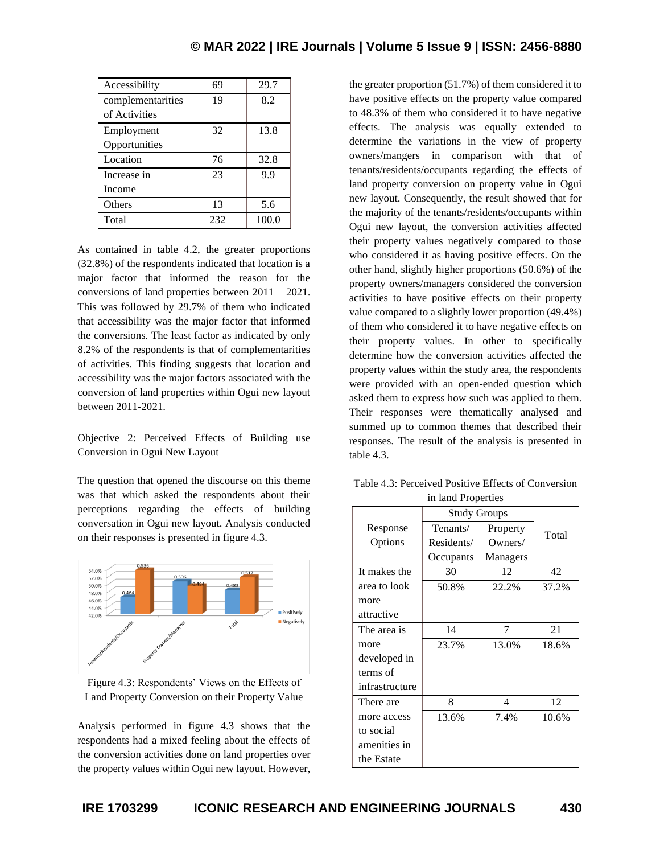| Accessibility     | 69  | 29.7  |
|-------------------|-----|-------|
| complementarities | 19  | 8.2   |
| of Activities     |     |       |
| Employment        | 32  | 13.8  |
| Opportunities     |     |       |
| Location          | 76  | 32.8  |
| Increase in       | 23  | 9.9   |
| Income            |     |       |
| Others            | 13  | 5.6   |
| Total             | 232 | 100.0 |

As contained in table 4.2, the greater proportions (32.8%) of the respondents indicated that location is a major factor that informed the reason for the conversions of land properties between 2011 – 2021. This was followed by 29.7% of them who indicated that accessibility was the major factor that informed the conversions. The least factor as indicated by only 8.2% of the respondents is that of complementarities of activities. This finding suggests that location and accessibility was the major factors associated with the conversion of land properties within Ogui new layout between 2011-2021.

Objective 2: Perceived Effects of Building use Conversion in Ogui New Layout

The question that opened the discourse on this theme was that which asked the respondents about their perceptions regarding the effects of building conversation in Ogui new layout. Analysis conducted on their responses is presented in figure 4.3.



| Figure 4.3: Respondents' Views on the Effects of |  |
|--------------------------------------------------|--|
| Land Property Conversion on their Property Value |  |

Analysis performed in figure 4.3 shows that the respondents had a mixed feeling about the effects of the conversion activities done on land properties over the property values within Ogui new layout. However,

the greater proportion (51.7%) of them considered it to have positive effects on the property value compared to 48.3% of them who considered it to have negative effects. The analysis was equally extended to determine the variations in the view of property owners/mangers in comparison with that of tenants/residents/occupants regarding the effects of land property conversion on property value in Ogui new layout. Consequently, the result showed that for the majority of the tenants/residents/occupants within Ogui new layout, the conversion activities affected their property values negatively compared to those who considered it as having positive effects. On the other hand, slightly higher proportions (50.6%) of the property owners/managers considered the conversion activities to have positive effects on their property value compared to a slightly lower proportion (49.4%) of them who considered it to have negative effects on their property values. In other to specifically determine how the conversion activities affected the property values within the study area, the respondents were provided with an open-ended question which asked them to express how such was applied to them. Their responses were thematically analysed and summed up to common themes that described their responses. The result of the analysis is presented in table 4.3.

Table 4.3: Perceived Positive Effects of Conversion in land Properties

|                | <b>Study Groups</b> |          |       |
|----------------|---------------------|----------|-------|
| Response       | Tenants/            | Property | Total |
| Options        | Residents/          | Owners/  |       |
|                | Occupants           | Managers |       |
| It makes the   | 30                  | 12       | 42    |
| area to look   | 50.8%               | 22.2%    | 37.2% |
| more           |                     |          |       |
| attractive     |                     |          |       |
| The area is    | 14                  | 7        | 21    |
| more           | 23.7%               | 13.0%    | 18.6% |
| developed in   |                     |          |       |
| terms of       |                     |          |       |
| infrastructure |                     |          |       |
| There are      | 8                   | 4        | 12    |
| more access    | 13.6%               | 7.4%     | 10.6% |
| to social      |                     |          |       |
| amenities in   |                     |          |       |
| the Estate     |                     |          |       |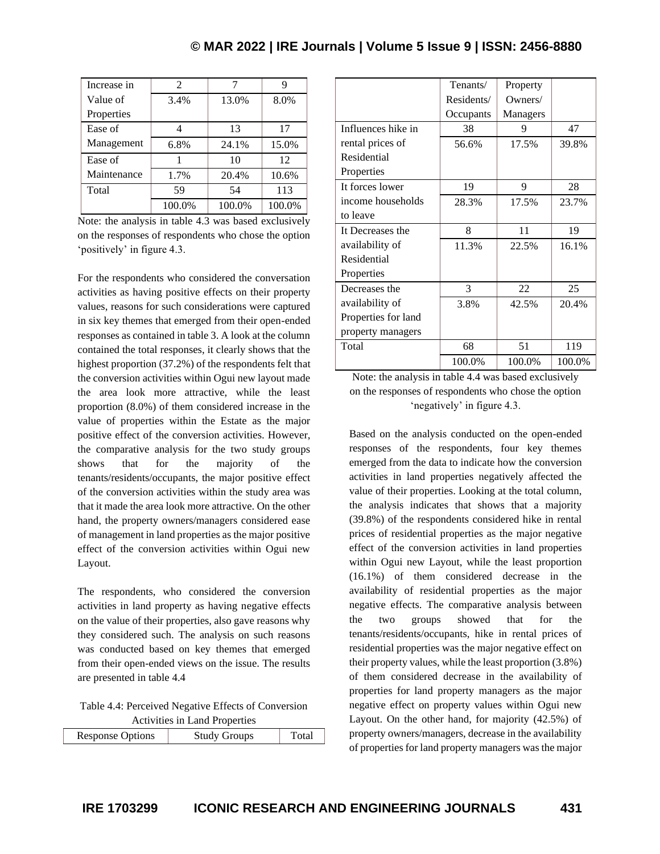| Increase in | $\mathfrak{D}$ |        |        |
|-------------|----------------|--------|--------|
| Value of    | 3.4%           | 13.0%  | 8.0%   |
| Properties  |                |        |        |
| Ease of     |                | 13     | 17     |
| Management  | 6.8%           | 24.1%  | 15.0%  |
| Ease of     |                | 10     | 12     |
| Maintenance | 1.7%           | 20.4%  | 10.6%  |
| Total       | 59             | 54     | 113    |
|             | 100.0%         | 100.0% | 100.0% |

Note: the analysis in table 4.3 was based exclusively on the responses of respondents who chose the option 'positively' in figure 4.3.

For the respondents who considered the conversation activities as having positive effects on their property values, reasons for such considerations were captured in six key themes that emerged from their open-ended responses as contained in table 3. A look at the column contained the total responses, it clearly shows that the highest proportion (37.2%) of the respondents felt that the conversion activities within Ogui new layout made the area look more attractive, while the least proportion (8.0%) of them considered increase in the value of properties within the Estate as the major positive effect of the conversion activities. However, the comparative analysis for the two study groups shows that for the majority of the tenants/residents/occupants, the major positive effect of the conversion activities within the study area was that it made the area look more attractive. On the other hand, the property owners/managers considered ease of management in land properties as the major positive effect of the conversion activities within Ogui new Layout.

The respondents, who considered the conversion activities in land property as having negative effects on the value of their properties, also gave reasons why they considered such. The analysis on such reasons was conducted based on key themes that emerged from their open-ended views on the issue. The results are presented in table 4.4

Table 4.4: Perceived Negative Effects of Conversion Activities in Land Properties

| $1.001$ , $1.0001$ $1.0001$ $1.0001$ |                     |       |  |  |  |
|--------------------------------------|---------------------|-------|--|--|--|
| <b>Response Options</b>              | <b>Study Groups</b> | Total |  |  |  |
|                                      |                     |       |  |  |  |

|                     | Tenants/   | Property |        |
|---------------------|------------|----------|--------|
|                     | Residents/ | Owners/  |        |
|                     | Occupants  | Managers |        |
| Influences hike in  | 38         | 9        | 47     |
| rental prices of    | 56.6%      | 17.5%    | 39.8%  |
| Residential         |            |          |        |
| Properties          |            |          |        |
| It forces lower     | 19         | 9        | 28     |
| income households   | 28.3%      | 17.5%    | 23.7%  |
| to leave            |            |          |        |
| It Decreases the    | 8          | 11       | 19     |
| availability of     | 11.3%      | 22.5%    | 16.1%  |
| Residential         |            |          |        |
| Properties          |            |          |        |
| Decreases the       | 3          | 22       | 25     |
| availability of     | 3.8%       | 42.5%    | 20.4%  |
| Properties for land |            |          |        |
| property managers   |            |          |        |
| Total               | 68         | 51       | 119    |
|                     | 100.0%     | 100.0%   | 100.0% |

Note: the analysis in table 4.4 was based exclusively on the responses of respondents who chose the option 'negatively' in figure 4.3.

Based on the analysis conducted on the open-ended responses of the respondents, four key themes emerged from the data to indicate how the conversion activities in land properties negatively affected the value of their properties. Looking at the total column, the analysis indicates that shows that a majority (39.8%) of the respondents considered hike in rental prices of residential properties as the major negative effect of the conversion activities in land properties within Ogui new Layout, while the least proportion (16.1%) of them considered decrease in the availability of residential properties as the major negative effects. The comparative analysis between the two groups showed that for the tenants/residents/occupants, hike in rental prices of residential properties was the major negative effect on their property values, while the least proportion (3.8%) of them considered decrease in the availability of properties for land property managers as the major negative effect on property values within Ogui new Layout. On the other hand, for majority (42.5%) of property owners/managers, decrease in the availability of properties for land property managers was the major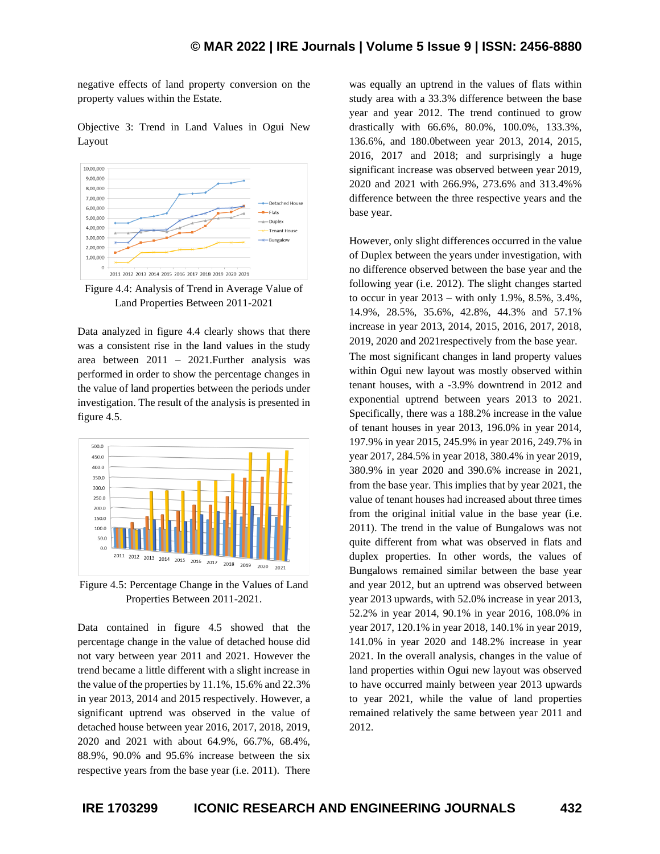negative effects of land property conversion on the property values within the Estate.

Objective 3: Trend in Land Values in Ogui New Layout



Figure 4.4: Analysis of Trend in Average Value of Land Properties Between 2011-2021

Data analyzed in figure 4.4 clearly shows that there was a consistent rise in the land values in the study area between 2011 – 2021.Further analysis was performed in order to show the percentage changes in the value of land properties between the periods under investigation. The result of the analysis is presented in figure 4.5.



Figure 4.5: Percentage Change in the Values of Land Properties Between 2011-2021.

Data contained in figure 4.5 showed that the percentage change in the value of detached house did not vary between year 2011 and 2021. However the trend became a little different with a slight increase in the value of the properties by 11.1%, 15.6% and 22.3% in year 2013, 2014 and 2015 respectively. However, a significant uptrend was observed in the value of detached house between year 2016, 2017, 2018, 2019, 2020 and 2021 with about 64.9%, 66.7%, 68.4%, 88.9%, 90.0% and 95.6% increase between the six respective years from the base year (i.e. 2011). There was equally an uptrend in the values of flats within study area with a 33.3% difference between the base year and year 2012. The trend continued to grow drastically with 66.6%, 80.0%, 100.0%, 133.3%, 136.6%, and 180.0between year 2013, 2014, 2015, 2016, 2017 and 2018; and surprisingly a huge significant increase was observed between year 2019, 2020 and 2021 with 266.9%, 273.6% and 313.4%% difference between the three respective years and the base year.

However, only slight differences occurred in the value of Duplex between the years under investigation, with no difference observed between the base year and the following year (i.e. 2012). The slight changes started to occur in year 2013 – with only 1.9%, 8.5%, 3.4%, 14.9%, 28.5%, 35.6%, 42.8%, 44.3% and 57.1% increase in year 2013, 2014, 2015, 2016, 2017, 2018, 2019, 2020 and 2021respectively from the base year. The most significant changes in land property values within Ogui new layout was mostly observed within tenant houses, with a -3.9% downtrend in 2012 and exponential uptrend between years 2013 to 2021. Specifically, there was a 188.2% increase in the value of tenant houses in year 2013, 196.0% in year 2014, 197.9% in year 2015, 245.9% in year 2016, 249.7% in year 2017, 284.5% in year 2018, 380.4% in year 2019, 380.9% in year 2020 and 390.6% increase in 2021, from the base year. This implies that by year 2021, the value of tenant houses had increased about three times from the original initial value in the base year (i.e. 2011). The trend in the value of Bungalows was not quite different from what was observed in flats and duplex properties. In other words, the values of Bungalows remained similar between the base year and year 2012, but an uptrend was observed between year 2013 upwards, with 52.0% increase in year 2013, 52.2% in year 2014, 90.1% in year 2016, 108.0% in year 2017, 120.1% in year 2018, 140.1% in year 2019, 141.0% in year 2020 and 148.2% increase in year 2021. In the overall analysis, changes in the value of land properties within Ogui new layout was observed to have occurred mainly between year 2013 upwards to year 2021, while the value of land properties remained relatively the same between year 2011 and 2012.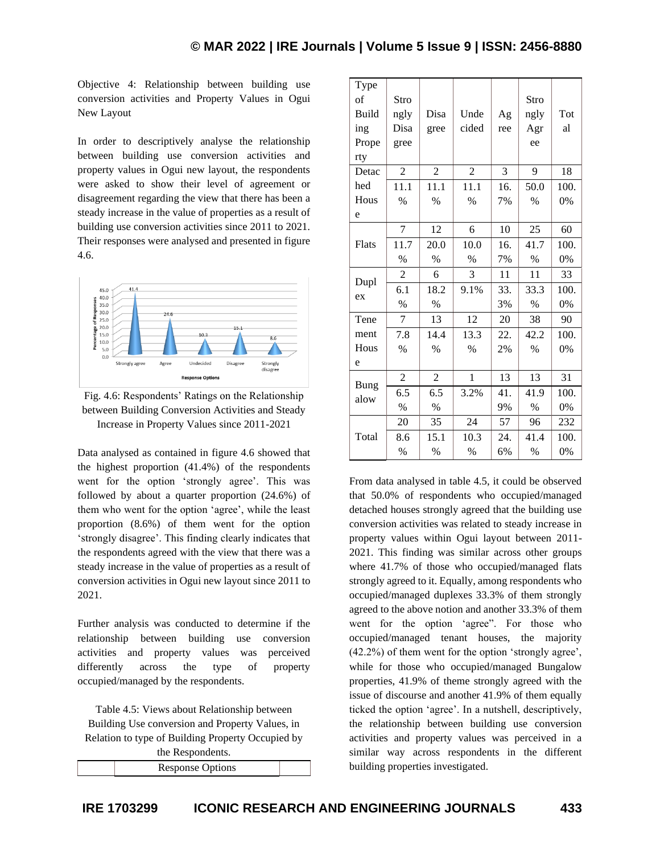Objective 4: Relationship between building use conversion activities and Property Values in Ogui New Layout

In order to descriptively analyse the relationship between building use conversion activities and property values in Ogui new layout, the respondents were asked to show their level of agreement or disagreement regarding the view that there has been a steady increase in the value of properties as a result of building use conversion activities since 2011 to 2021. Their responses were analysed and presented in figure 4.6.





Data analysed as contained in figure 4.6 showed that the highest proportion (41.4%) of the respondents went for the option 'strongly agree'. This was followed by about a quarter proportion (24.6%) of them who went for the option 'agree', while the least proportion (8.6%) of them went for the option 'strongly disagree'. This finding clearly indicates that the respondents agreed with the view that there was a steady increase in the value of properties as a result of conversion activities in Ogui new layout since 2011 to 2021.

Further analysis was conducted to determine if the relationship between building use conversion activities and property values was perceived differently across the type of property occupied/managed by the respondents.

Table 4.5: Views about Relationship between Building Use conversion and Property Values, in Relation to type of Building Property Occupied by

| the Respondents.        |  |
|-------------------------|--|
| <b>Response Options</b> |  |

| Type<br>of<br><b>Build</b><br>ing<br>Prope<br>rty | Stro<br>ngly<br>Disa<br>gree | Disa<br>gree   | Unde<br>cided  | Ag<br>ree | Stro<br>ngly<br>Agr<br>ee | Tot<br>al |
|---------------------------------------------------|------------------------------|----------------|----------------|-----------|---------------------------|-----------|
| Detac                                             | $\overline{2}$               | $\overline{c}$ | $\overline{2}$ | 3         | 9                         | 18        |
| hed                                               | 11.1                         | 11.1           | 11.1           | 16.       | 50.0                      | 100.      |
| Hous                                              | $\%$                         | $\%$           | $\%$           | 7%        | $\%$                      | 0%        |
| e                                                 |                              |                |                |           |                           |           |
|                                                   | 7                            | 12             | 6              | 10        | 25                        | 60        |
| Flats                                             | 11.7                         | 20.0           | 10.0           | 16.       | 41.7                      | 100.      |
|                                                   | $\%$                         | $\%$           | $\%$           | 7%        | $\%$                      | 0%        |
|                                                   | $\overline{2}$               | 6              | 3              | 11        | 11                        | 33        |
| Dupl                                              | 6.1                          | 18.2           | 9.1%           | 33.       | 33.3                      | 100.      |
| ex                                                | $\%$                         | $\%$           |                | 3%        | $\%$                      | 0%        |
| Tene                                              | $\overline{7}$               | 13             | 12             | 20        | 38                        | 90        |
| ment                                              | 7.8                          | 14.4           | 13.3           | 22.       | 42.2                      | 100.      |
| Hous                                              | $\%$                         | $\%$           | $\%$           | 2%        | $\%$                      | 0%        |
| e                                                 |                              |                |                |           |                           |           |
| <b>Bung</b>                                       | $\overline{2}$               | $\overline{2}$ | 1              | 13        | 13                        | 31        |
| alow                                              | 6.5                          | 6.5            | 3.2%           | 41.       | 41.9                      | 100.      |
|                                                   | $\%$                         | $\%$           |                | 9%        | $\frac{0}{0}$             | 0%        |
|                                                   | 20                           | 35             | 24             | 57        | 96                        | 232       |
| Total                                             | 8.6                          | 15.1           | 10.3           | 24.       | 41.4                      | 100.      |
|                                                   | $\%$                         | $\%$           | $\%$           | 6%        | $\%$                      | 0%        |

From data analysed in table 4.5, it could be observed that 50.0% of respondents who occupied/managed detached houses strongly agreed that the building use conversion activities was related to steady increase in property values within Ogui layout between 2011- 2021. This finding was similar across other groups where 41.7% of those who occupied/managed flats strongly agreed to it. Equally, among respondents who occupied/managed duplexes 33.3% of them strongly agreed to the above notion and another 33.3% of them went for the option 'agree". For those who occupied/managed tenant houses, the majority (42.2%) of them went for the option 'strongly agree', while for those who occupied/managed Bungalow properties, 41.9% of theme strongly agreed with the issue of discourse and another 41.9% of them equally ticked the option 'agree'. In a nutshell, descriptively, the relationship between building use conversion activities and property values was perceived in a similar way across respondents in the different building properties investigated.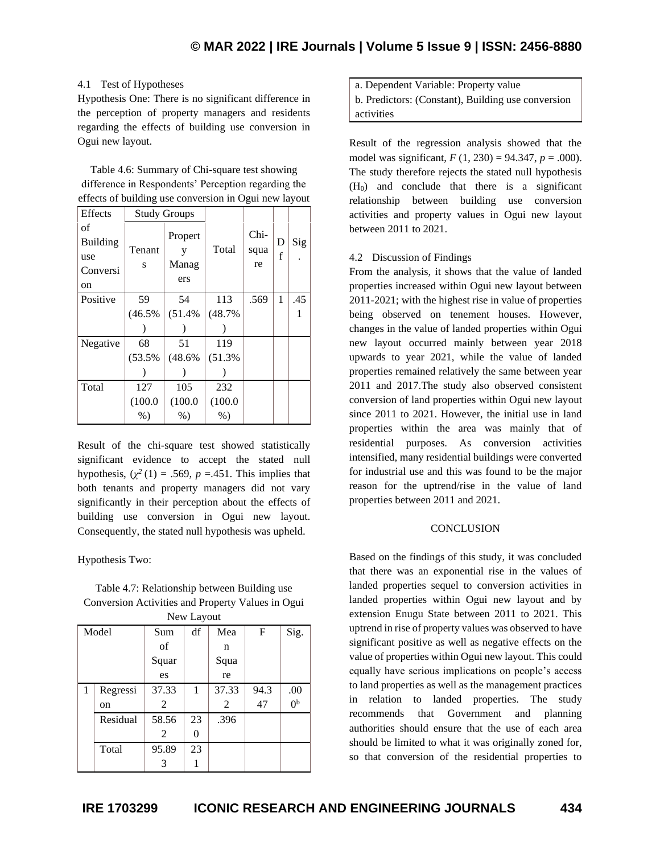### 4.1 Test of Hypotheses

Hypothesis One: There is no significant difference in the perception of property managers and residents regarding the effects of building use conversion in Ogui new layout.

Table 4.6: Summary of Chi-square test showing difference in Respondents' Perception regarding the effects of building use conversion in Ogui new layout

| Effects                                        | <b>Study Groups</b> |                              |         |                    |        |     |
|------------------------------------------------|---------------------|------------------------------|---------|--------------------|--------|-----|
| of<br><b>Building</b><br>use<br>Conversi<br>on | Tenant<br>S         | Propert<br>y<br>Manag<br>ers | Total   | Chi-<br>squa<br>re | D<br>f | Sig |
| Positive                                       | 59                  | 54                           | 113     | .569               | 1      | .45 |
|                                                | (46.5%              | (51.4%                       | (48.7%  |                    |        |     |
|                                                |                     |                              |         |                    |        |     |
| Negative                                       | 68                  | 51                           | 119     |                    |        |     |
|                                                | (53.5%              | (48.6%                       | (51.3%  |                    |        |     |
|                                                |                     |                              |         |                    |        |     |
| Total                                          | 127                 | 105                          | 232     |                    |        |     |
|                                                | (100.0)             | (100.0)                      | (100.0) |                    |        |     |
|                                                | $%$ )               | $%$ )                        | $%$ )   |                    |        |     |

Result of the chi-square test showed statistically significant evidence to accept the stated null hypothesis,  $(\chi^2(1) = .569, p = .451$ . This implies that both tenants and property managers did not vary significantly in their perception about the effects of building use conversion in Ogui new layout. Consequently, the stated null hypothesis was upheld.

### Hypothesis Two:

Table 4.7: Relationship between Building use Conversion Activities and Property Values in Ogui

| New Layout |          |       |    |       |             |                |
|------------|----------|-------|----|-------|-------------|----------------|
| Model      |          | Sum   | df | Mea   | $\mathbf F$ | Sig.           |
|            |          | of    |    | n     |             |                |
|            |          | Squar |    | Squa  |             |                |
|            |          | es    |    | re    |             |                |
| 1          | Regressi | 37.33 | 1  | 37.33 | 94.3        | .00            |
|            | on       | 2     |    | 2     | 47          | 0 <sup>b</sup> |
|            | Residual | 58.56 | 23 | .396  |             |                |
|            |          | 2     | 0  |       |             |                |
|            | Total    | 95.89 | 23 |       |             |                |
|            |          | 3     |    |       |             |                |

a. Dependent Variable: Property value b. Predictors: (Constant), Building use conversion activities

Result of the regression analysis showed that the model was significant, *F* (1, 230) = 94.347, *p* = .000). The study therefore rejects the stated null hypothesis  $(H<sub>0</sub>)$  and conclude that there is a significant relationship between building use conversion activities and property values in Ogui new layout between 2011 to 2021.

### 4.2 Discussion of Findings

From the analysis, it shows that the value of landed properties increased within Ogui new layout between 2011-2021; with the highest rise in value of properties being observed on tenement houses. However, changes in the value of landed properties within Ogui new layout occurred mainly between year 2018 upwards to year 2021, while the value of landed properties remained relatively the same between year 2011 and 2017.The study also observed consistent conversion of land properties within Ogui new layout since 2011 to 2021. However, the initial use in land properties within the area was mainly that of residential purposes. As conversion activities intensified, many residential buildings were converted for industrial use and this was found to be the major reason for the uptrend/rise in the value of land properties between 2011 and 2021.

### **CONCLUSION**

Based on the findings of this study, it was concluded that there was an exponential rise in the values of landed properties sequel to conversion activities in landed properties within Ogui new layout and by extension Enugu State between 2011 to 2021. This uptrend in rise of property values was observed to have significant positive as well as negative effects on the value of properties within Ogui new layout. This could equally have serious implications on people's access to land properties as well as the management practices in relation to landed properties. The study recommends that Government and planning authorities should ensure that the use of each area should be limited to what it was originally zoned for, so that conversion of the residential properties to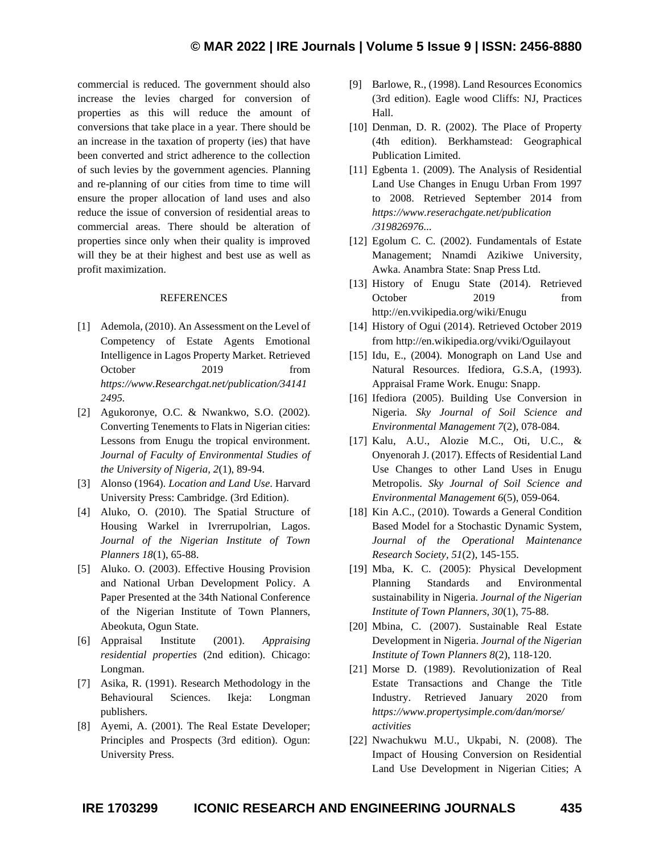commercial is reduced. The government should also increase the levies charged for conversion of properties as this will reduce the amount of conversions that take place in a year. There should be an increase in the taxation of property (ies) that have been converted and strict adherence to the collection of such levies by the government agencies. Planning and re-planning of our cities from time to time will ensure the proper allocation of land uses and also reduce the issue of conversion of residential areas to commercial areas. There should be alteration of properties since only when their quality is improved will they be at their highest and best use as well as profit maximization.

### REFERENCES

- [1] Ademola, (2010). An Assessment on the Level of Competency of Estate Agents Emotional Intelligence in Lagos Property Market. Retrieved October 2019 from *[https://www.Researchgat.net/publication/34141](https://www.researchgat.net/publication/341412495) [2495.](https://www.researchgat.net/publication/341412495)*
- [2] Agukoronye, O.C. & Nwankwo, S.O. (2002). Converting Tenements to Flats in Nigerian cities: Lessons from Enugu the tropical environment. *Journal of Faculty of Environmental Studies of the University of Nigeria, 2*(1), 89-94.
- [3] Alonso (1964). *Location and Land Use*. Harvard University Press: Cambridge. (3rd Edition).
- [4] Aluko, O. (2010). The Spatial Structure of Housing Warkel in Ivrerrupolrian, Lagos. *Journal of the Nigerian Institute of Town Planners 18*(1), 65-88.
- [5] Aluko. O. (2003). Effective Housing Provision and National Urban Development Policy. A Paper Presented at the 34th National Conference of the Nigerian Institute of Town Planners, Abeokuta, Ogun State.
- [6] Appraisal Institute (2001). *Appraising residential properties* (2nd edition). Chicago: Longman.
- [7] Asika, R. (1991). Research Methodology in the Behavioural Sciences. Ikeja: Longman publishers.
- [8] Ayemi, A. (2001). The Real Estate Developer; Principles and Prospects (3rd edition). Ogun: University Press.
- [9] Barlowe, R., (1998). Land Resources Economics (3rd edition). Eagle wood Cliffs: NJ, Practices Hall.
- [10] Denman, D. R. (2002). The Place of Property (4th edition). Berkhamstead: Geographical Publication Limited.
- [11] Egbenta 1. (2009). The Analysis of Residential Land Use Changes in Enugu Urban From 1997 to 2008. Retrieved September 2014 from *[https://www.reserachgate.net/publication](https://www.reserachgate.net/publication%20/319826976)  [/319826976.](https://www.reserachgate.net/publication%20/319826976)..*
- [12] Egolum C. C. (2002). Fundamentals of Estate Management; Nnamdi Azikiwe University, Awka. Anambra State: Snap Press Ltd.
- [13] History of Enugu State (2014). Retrieved October 2019 from <http://en.vvikipedia.org/wiki/Enugu>
- [14] History of Ogui (2014). Retrieved October 2019 from<http://en.wikipedia.org/vviki/Oguilayout>
- [15] Idu, E., (2004). Monograph on Land Use and Natural Resource*s*. Ifediora, G.S.A, (1993). Appraisal Frame Work. Enugu: Snapp.
- [16] Ifediora (2005). Building Use Conversion in Nigeria. *Sky Journal of Soil Science and Environmental Management 7*(2), 078-084.
- [17] Kalu, A.U., Alozie M.C., Oti, U.C., & Onyenorah J. (2017). Effects of Residential Land Use Changes to other Land Uses in Enugu Metropolis. *Sky Journal of Soil Science and Environmental Management 6*(5), 059-064.
- [18] Kin A.C., (2010). Towards a General Condition Based Model for a Stochastic Dynamic System, *Journal of the Operational Maintenance Research Society, 51*(2), 145-155.
- [19] Mba, K. C. (2005): Physical Development Planning Standards and Environmental sustainability in Nigeria. *Journal of the Nigerian Institute of Town Planners, 30*(1), 75-88.
- [20] Mbina, C. (2007). Sustainable Real Estate Development in Nigeria. *Journal of the Nigerian Institute of Town Planners 8*(2), 118-120.
- [21] Morse D. (1989). Revolutionization of Real Estate Transactions and Change the Title Industry. Retrieved January 2020 from *<https://www.propertysimple.com/dan/morse/> activities*
- [22] Nwachukwu M.U., Ukpabi, N. (2008). The Impact of Housing Conversion on Residential Land Use Development in Nigerian Cities; A